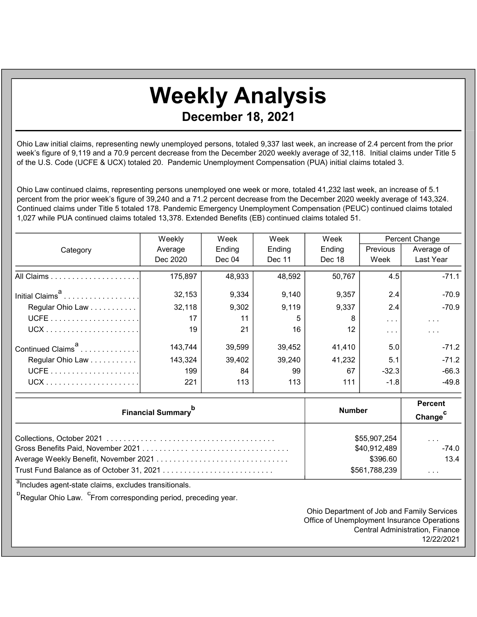## Weekly Analysis December 18, 2021

Ohio Law initial claims, representing newly unemployed persons, totaled 9,337 last week, an increase of 2.4 percent from the prior week's figure of 9,119 and a 70.9 percent decrease from the December 2020 weekly average of 32,118. Initial claims under Title 5 of the U.S. Code (UCFE & UCX) totaled 20. Pandemic Unemployment Compensation (PUA) initial claims totaled 3.

Ohio Law continued claims, representing persons unemployed one week or more, totaled 41,232 last week, an increase of 5.1 percent from the prior week's figure of 39,240 and a 71.2 percent decrease from the December 2020 weekly average of 143,324. Continued claims under Title 5 totaled 178. Pandemic Emergency Unemployment Compensation (PEUC) continued claims totaled 1,027 while PUA continued claims totaled 13,378. Extended Benefits (EB) continued claims totaled 51.

|                               | Weekly   | Week   | Week   | Week   | Percent Change       |                      |
|-------------------------------|----------|--------|--------|--------|----------------------|----------------------|
| Category                      | Average  | Ending | Ending | Ending | Previous             | Average of           |
|                               | Dec 2020 | Dec 04 | Dec 11 | Dec 18 | Week                 | Last Year            |
|                               | 175,897  | 48,933 | 48,592 | 50,767 | 4.5                  | $-71.1$              |
| Initial Claims <sup>a</sup>   | 32,153   | 9,334  | 9,140  | 9,357  | 2.4                  | $-70.9$              |
| Regular Ohio Law              | 32,118   | 9,302  | 9,119  | 9,337  | 2.4                  | $-70.9$              |
|                               | 17       | 11     | 5      | 8      | $\sim$ $\sim$ $\sim$ | $\sim$ $\sim$ $\sim$ |
|                               | 19       | 21     | 16     | 12     | $\sim$ $\sim$ $\sim$ | $\sim$ $\sim$        |
| Continued Claims <sup>a</sup> | 143.744  | 39,599 | 39,452 | 41,410 | 5.0                  | $-71.2$              |
| Regular Ohio Law              | 143,324  | 39,402 | 39,240 | 41,232 | 5.1                  | $-71.2$              |
|                               | 199      | 84     | 99     | 67     | $-32.3$              | $-66.3$              |
|                               | 221      | 113    | 113    | 111    | $-1.8$               | $-49.8$              |

| <b>Financial Summary</b> <sup>p</sup> | <b>Number</b> | <b>Percent</b><br>Change <sup>C</sup> |  |
|---------------------------------------|---------------|---------------------------------------|--|
|                                       | \$55,907,254  | $\cdot$ $\cdot$ $\cdot$               |  |
|                                       | \$40,912,489  | $-74.0$                               |  |
|                                       | \$396.60      | 13.4                                  |  |
|                                       | \$561,788,239 | .                                     |  |

a<br>Includes agent-state claims, excludes transitionals.

<sup>b</sup>Regular Ohio Law. <sup>C</sup>From corresponding period, preceding year.

Ohio Department of Job and Family Services Office of Unemployment Insurance Operations Central Administration, Finance 12/22/2021